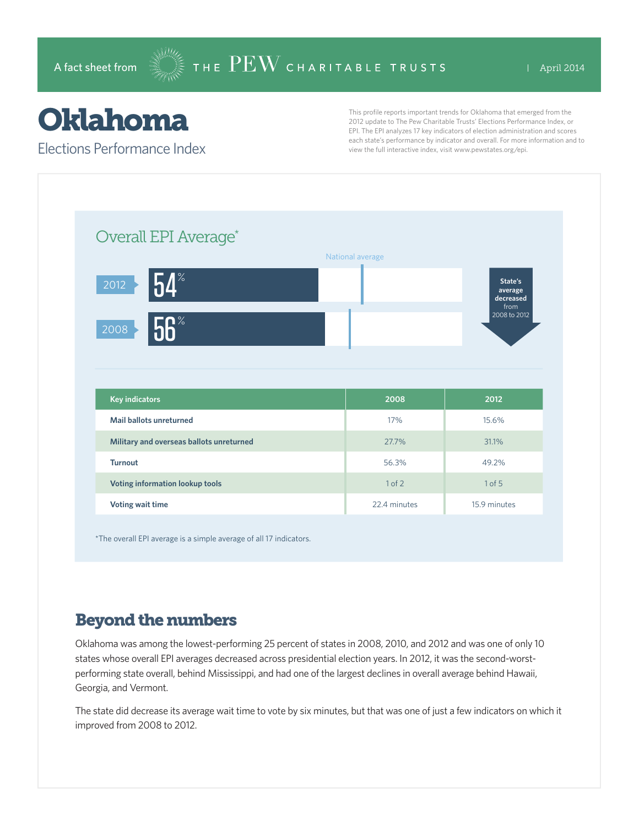## Oklahoma

Elections Performance Index

This profile reports important trends for Oklahoma that emerged from the 2012 update to The Pew Charitable Trusts' Elections Performance Index, or EPI. The EPI analyzes 17 key indicators of election administration and scores each state's performance by indicator and overall. For more information and to view the full interactive index, visit www.pewstates.org/epi.

| Overall EPI Average*                     |                  |        |                                         |
|------------------------------------------|------------------|--------|-----------------------------------------|
|                                          | National average |        |                                         |
| $54^\circ$<br>2012                       |                  |        | State's<br>average<br>decreased<br>from |
| 56 <sup>°</sup><br>2008                  |                  |        | 2008 to 2012                            |
|                                          |                  |        |                                         |
|                                          |                  |        |                                         |
| <b>Key indicators</b>                    |                  | 2008   | 2012                                    |
| <b>Mail ballots unreturned</b>           |                  | 17%    | 15.6%                                   |
| Military and overseas ballots unreturned |                  | 27.7%  | 31.1%                                   |
| <b>Turnout</b>                           |                  | 56.3%  | 49.2%                                   |
| Voting information lookup tools          |                  | 1 of 2 | $1$ of $5$                              |

\*The overall EPI average is a simple average of all 17 indicators.

## Beyond the numbers

Oklahoma was among the lowest-performing 25 percent of states in 2008, 2010, and 2012 and was one of only 10 states whose overall EPI averages decreased across presidential election years. In 2012, it was the second-worstperforming state overall, behind Mississippi, and had one of the largest declines in overall average behind Hawaii, Georgia, and Vermont.

The state did decrease its average wait time to vote by six minutes, but that was one of just a few indicators on which it improved from 2008 to 2012.